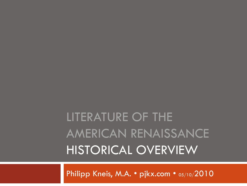## LITERATURE OF THE AMERICAN RENAISSANCE HISTORICAL OVERVIEW

Philipp Kneis, M.A. • pjkx.com • 05/10/2010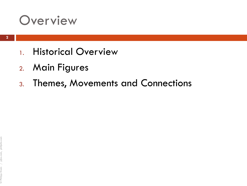#### **Overview**

- 1. Historical Overview
- 2. Main Figures
- 3. Themes, Movements and Connections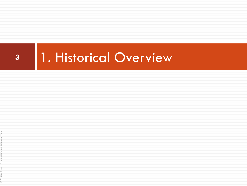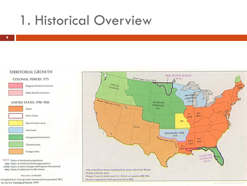#### **TERRITORIAL GROWTH**

#### **COLONIAL PERIOD: 1775**



**Original Thirteen Colonies** 

Other British territories

#### UNITED STATES: 1790-1920



1803 Dates of territorial acquisitions 1805 Dates of initial territorial organization (1809) Dates of latest change within given time period 1812 Dates of admission to the Union

#### Map scale 1:34,000,000

1<br>Com, p<br>rev Compiled by H. George Stoll, Hammond Incorporated, 1967; rev. by U.S. Geological Survey, 1970

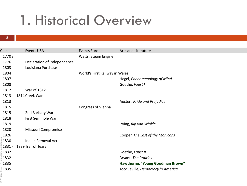|                    | <b>Events USA</b>           |                                | Arts and Literature               |
|--------------------|-----------------------------|--------------------------------|-----------------------------------|
| Year               |                             | <b>Events Europe</b>           |                                   |
| 1770 s             |                             | <b>Watts: Steam Engine</b>     |                                   |
| 1776               | Declaration of Independence |                                |                                   |
| 1803               | Louisiana Purchase          |                                |                                   |
| 1804               |                             | World's First Railway in Wales |                                   |
| 1807               |                             |                                | Hegel, Phenomenology of Mind      |
| 1808               |                             |                                | Goethe, Faust I                   |
| 1812               | <b>War of 1812</b>          |                                |                                   |
| $1813 -$           | 1814 Creek War              |                                |                                   |
| 1813               |                             |                                | Austen, Pride and Prejudice       |
| 1815               |                             | Congress of Vienna             |                                   |
| 1815               | 2nd Barbary War             |                                |                                   |
| 1818               | First Seminole War          |                                |                                   |
| 1819               |                             |                                | Irving, Rip van Winkle            |
| 1820               | Missouri Compromise         |                                |                                   |
| 1826               |                             |                                | Cooper, The Last of the Mohicans  |
| 1830               | <b>Indian Removal Act</b>   |                                |                                   |
| ∄1831 -            | 1839 Trail of Tears         |                                |                                   |
| $\hat{=}$ 1832     |                             |                                | Goethe, Faust II                  |
| 1832               |                             |                                | Bryant, The Prairies              |
| $-1835$            |                             |                                | Hawthorne, "Young Goodman Brown"  |
| $\frac{2}{5}$ 1835 |                             |                                | Tocqueville, Democracy in America |
| hullbb             |                             |                                |                                   |
|                    |                             |                                |                                   |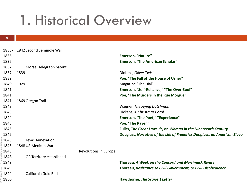#### - 1842 Second Seminole War **Emerson, "Nature" Emerson, "The American Scholar"** Morse: Telegraph patent - 1839 Dickens, *Oliver Twist* **Poe, "The Fall of the House of Usher"** - 1929 Magazine "The Dial" **Emerson, "Self-Reliance," "The Over-Soul" Poe, "The Murders in the Rue Morgue"** - 1869Oregon Trail Wagner, *The Flying Dutchman* Dickens, *A Christmas Carol* **Emerson, "The Poet," "Experience" Poe, "The Raven"**

 **Fuller,** *The Great Lawsuit***, or,** *Woman in the Nineteenth Century* **Douglass,** *Narrative of the Life of Frederick Douglass, an American Slave* Texas Annexation - 1848US-Mexican War

OR Territory established

© Philipp Kneis / pjkx.com, philjohn.com

California Gold Rush

Revolutions in Europe

 **Thoreau,** *A Week on the Concord and Merrimack Rivers* **Thoreau,** *Resistance to Civil Government, or Civil Disobedience*

**Hawthorne,** *The Scarlett Letter*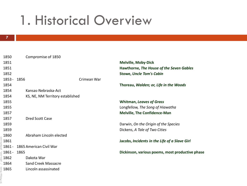| 1850                                                                                                                                                                                                                                                                         | Compromise of 1850               |                                                 |
|------------------------------------------------------------------------------------------------------------------------------------------------------------------------------------------------------------------------------------------------------------------------------|----------------------------------|-------------------------------------------------|
| 1851                                                                                                                                                                                                                                                                         |                                  | <b>Melville, Moby-Dick</b>                      |
| 1851                                                                                                                                                                                                                                                                         |                                  | Hawthorne, The House of the Seven Gables        |
| 1852                                                                                                                                                                                                                                                                         |                                  | <b>Stowe, Uncle Tom's Cabin</b>                 |
| $1853 -$                                                                                                                                                                                                                                                                     | Crimean War<br>1856              |                                                 |
| 1854                                                                                                                                                                                                                                                                         |                                  | Thoreau, Walden; or, Life in the Woods          |
| 1854                                                                                                                                                                                                                                                                         | Kansas-Nebraska-Act              |                                                 |
| 1854                                                                                                                                                                                                                                                                         | KS, NE, NM Territory established |                                                 |
| 1855                                                                                                                                                                                                                                                                         |                                  | <b>Whitman, Leaves of Grass</b>                 |
| 1855                                                                                                                                                                                                                                                                         |                                  | Longfellow, The Song of Hiawatha                |
| 1857                                                                                                                                                                                                                                                                         |                                  | <b>Melville, The Confidence-Man</b>             |
| 1857                                                                                                                                                                                                                                                                         | Dred Scott Case                  |                                                 |
| 1859                                                                                                                                                                                                                                                                         |                                  | Darwin, On the Origin of the Species            |
| 1859                                                                                                                                                                                                                                                                         |                                  | Dickens, A Tale of Two Cities                   |
| 1860                                                                                                                                                                                                                                                                         | Abraham Lincoln elected          |                                                 |
| $\frac{3}{2}$ 1861                                                                                                                                                                                                                                                           |                                  | Jacobs, Incidents in the Life of a Slave Girl   |
| 1861 -                                                                                                                                                                                                                                                                       | 1865 American Civil War          |                                                 |
| $\epsilon$ 1861 -                                                                                                                                                                                                                                                            | 1865                             | Dickinson, various poems, most productive phase |
| ∛ 1862                                                                                                                                                                                                                                                                       | Dakota War                       |                                                 |
| 1864                                                                                                                                                                                                                                                                         | <b>Sand Creek Massacre</b>       |                                                 |
|                                                                                                                                                                                                                                                                              | Lincoln assassinated             |                                                 |
| $\frac{1}{2}$ $\frac{1865}{2}$ $\frac{1}{2}$ $\frac{1}{2}$ $\frac{1}{2}$ $\frac{1}{2}$ $\frac{1}{2}$ $\frac{1}{2}$ $\frac{1}{2}$ $\frac{1}{2}$ $\frac{1}{2}$ $\frac{1}{2}$ $\frac{1}{2}$ $\frac{1}{2}$ $\frac{1}{2}$ $\frac{1}{2}$ $\frac{1}{2}$ $\frac{1}{2}$ $\frac{1}{2}$ |                                  |                                                 |
|                                                                                                                                                                                                                                                                              |                                  |                                                 |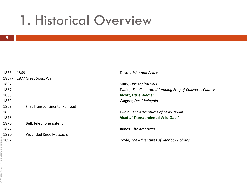| 1865 - 1869 |                                 | Tolstoy, War and Peace                                 |
|-------------|---------------------------------|--------------------------------------------------------|
|             | 1867 - 1877 Great Sioux War     |                                                        |
| 1867        |                                 | Marx, Das Kapital Vol I                                |
| 1867        |                                 | Twain, The Celebrated Jumping Frog of Calaveras County |
| 1868        |                                 | <b>Alcott, Little Women</b>                            |
| 1869        |                                 | Wagner, Das Rheingold                                  |
| 1869        | First Transcontinental Railroad |                                                        |
| 1869        |                                 | Twain, The Adventures of Mark Twain                    |
| 1873        |                                 | <b>Alcott, "Transcendental Wild Oats"</b>              |
| 1876        | Bell: telephone patent          |                                                        |
| 1877        |                                 | James, The American                                    |
| 1890        | <b>Wounded Knee Massacre</b>    |                                                        |
| 1892        |                                 | Doyle, The Adventures of Sherlock Holmes               |
|             |                                 |                                                        |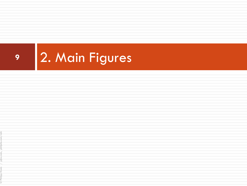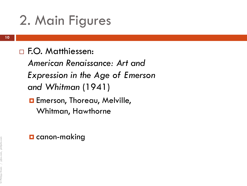#### □ F.O. Matthiessen:

*American Renaissance: Art and Expression in the Age of Emerson and Whitman* (1941)

**Exercise:** Thoreau, Melville, Whitman, Hawthorne

#### $\blacksquare$  canon-making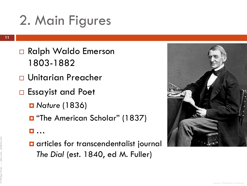- □ Ralph Waldo Emerson 1803-1882
- Unitarian Preacher
- □ Essayist and Poet
	- *Nature* (1836)
	- **D** "The American Scholar" (1837)
	- …
	- **a** articles for transcendentalist journal *The Dial* (est. 1840, ed M. Fuller)

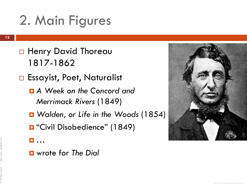- □ Henry David Thoreau 1817-1862
- □ Essayist, Poet, Naturalist
	- *A Week on the Concord and Merrimack Rivers* (1849)
	- *Walden, or Life in the Woods* (1854)
	- "Civil Disobedience" (1849)
	- …
	- wrote for *The Dial*

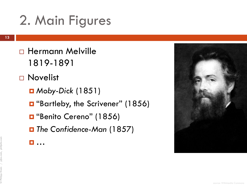- Hermann Melville 1819-1891
- □ Novelist
	- *Moby-Dick* (1851)
	- **D** "Bartleby, the Scrivener" (1856)
	- "Benito Cereno" (1856)
	- *The Confidence-Man* (1857)
	- **n**

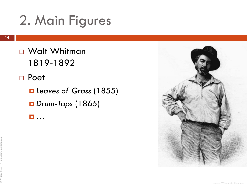© Philipp Kneis / pjkx.com, philjohn.com

- □ Walt Whitman 1819 -1892
- □ Poet
	- *Leaves of Grass* (1855) *Drum-Taps* (1865)
	- …

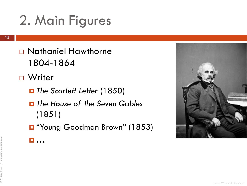- Nathaniel Hawthorne 1804-1864
- □ Writer
	- *The Scarlett Letter* (1850)
	- *The House of the Seven Gables*  (1851)
	- **D** "Young Goodman Brown" (1853)
	- …

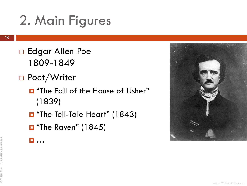- □ Edgar Allen Poe 1809-1849
- □ Poet/Writer
	- $\blacksquare$  "The Fall of the House of Usher" (1839)
	- The Tell-Tale Heart" (1843)
	- $\blacksquare$  "The Raven" (1845)
	- 口…

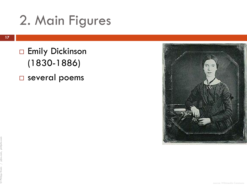**Emily Dickinson** (1830-1886) several poems

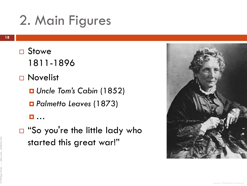- □ Stowe 1811-1896
- □ Novelist
	- *Uncle Tom's Cabin* (1852)
	- *Palmetto Leaves* (1873)
	- …
- □ "So you're the little lady who started this great war!"

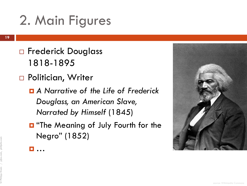- □ Frederick Douglass 1818-1895
- □ Politician, Writer

*…*

- *A Narrative of the Life of Frederick Douglass, an American Slave, Narrated by Himself* (1845)
- **D** "The Meaning of July Fourth for the Negro" (1852)



© Philipp Kneis / pjkx.com, philjohn.com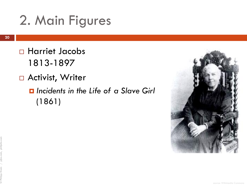- Harriet Jacobs 1813-1897
- □ Activist, Writer
	- *Incidents in the Life of a Slave Girl*  (1861)

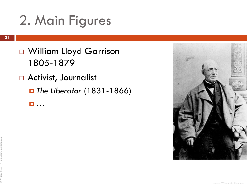- William Lloyd Garrison 1805-1879
- □ Activist, Journalist
	- *The Liberator* (1831-1866)

…

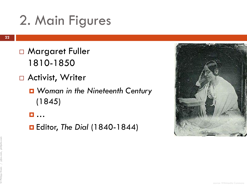- □ Margaret Fuller 1810-1850
- □ Activist, Writer
	- *Woman in the Nineteenth Century* (1845)
	- …
	- Editor, *The Dial* (1840-1844)

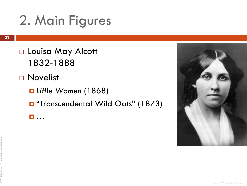- □ Louisa May Alcott 1832-1888
- □ Novelist
	- *Little Women* (1868)
	- **D** "Transcendental Wild Oats" (1873)
	- …

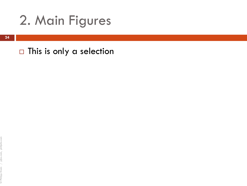$\Box$  This is only a selection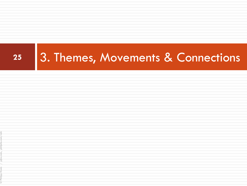# **<sup>25</sup>** 3. Themes, Movements & Connections